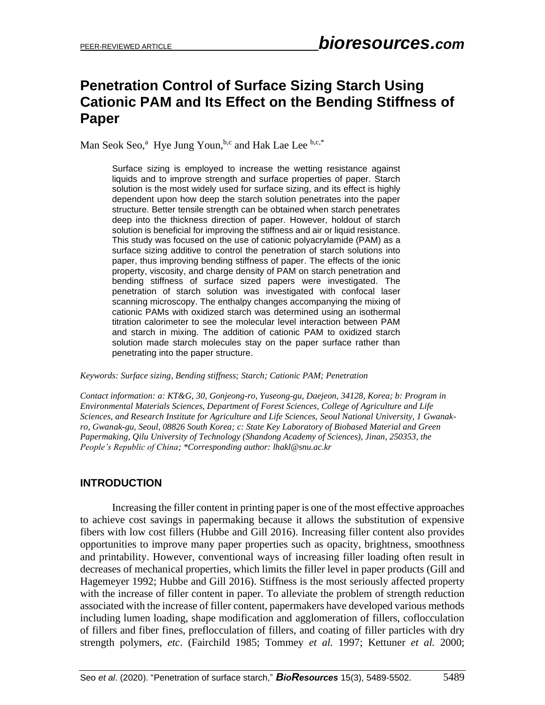# **Penetration Control of Surface Sizing Starch Using Cationic PAM and Its Effect on the Bending Stiffness of Paper**

Man Seok Seo,<sup>a</sup> Hye Jung Youn, b,c and Hak Lae Lee b,c,\*

Surface sizing is employed to increase the wetting resistance against liquids and to improve strength and surface properties of paper. Starch solution is the most widely used for surface sizing, and its effect is highly dependent upon how deep the starch solution penetrates into the paper structure. Better tensile strength can be obtained when starch penetrates deep into the thickness direction of paper. However, holdout of starch solution is beneficial for improving the stiffness and air or liquid resistance. This study was focused on the use of cationic polyacrylamide (PAM) as a surface sizing additive to control the penetration of starch solutions into paper, thus improving bending stiffness of paper. The effects of the ionic property, viscosity, and charge density of PAM on starch penetration and bending stiffness of surface sized papers were investigated. The penetration of starch solution was investigated with confocal laser scanning microscopy. The enthalpy changes accompanying the mixing of cationic PAMs with oxidized starch was determined using an isothermal titration calorimeter to see the molecular level interaction between PAM and starch in mixing. The addition of cationic PAM to oxidized starch solution made starch molecules stay on the paper surface rather than penetrating into the paper structure.

*Keywords: Surface sizing, Bending stiffness; Starch; Cationic PAM; Penetration*

*Contact information: a: KT&G, 30, Gonjeong-ro, Yuseong-gu, Daejeon, 34128, Korea; b: Program in Environmental Materials Sciences, Department of Forest Sciences, College of Agriculture and Life Sciences, and Research Institute for Agriculture and Life Sciences, Seoul National University, 1 Gwanakro, Gwanak-gu, Seoul, 08826 South Korea; c: State Key Laboratory of Biobased Material and Green Papermaking, Qilu University of Technology (Shandong Academy of Sciences), Jinan, 250353, the People's Republic of China; \*Corresponding author: lhakl@snu.ac.kr* 

# **INTRODUCTION**

Increasing the filler content in printing paper is one of the most effective approaches to achieve cost savings in papermaking because it allows the substitution of expensive fibers with low cost fillers (Hubbe and Gill 2016). Increasing filler content also provides opportunities to improve many paper properties such as opacity, brightness, smoothness and printability. However, conventional ways of increasing filler loading often result in decreases of mechanical properties, which limits the filler level in paper products (Gill and Hagemeyer 1992; Hubbe and Gill 2016). Stiffness is the most seriously affected property with the increase of filler content in paper. To alleviate the problem of strength reduction associated with the increase of filler content, papermakers have developed various methods including lumen loading, shape modification and agglomeration of fillers, coflocculation of fillers and fiber fines, preflocculation of fillers, and coating of filler particles with dry strength polymers, *etc*. (Fairchild 1985; Tommey *et al.* 1997; Kettuner *et al.* 2000;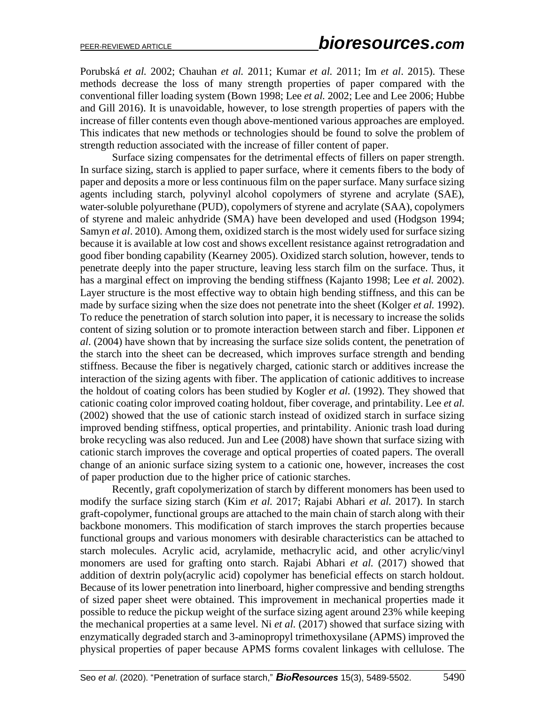Porubská *et al.* 2002; Chauhan *et al.* 2011; Kumar *et al.* 2011; Im *et al*. 2015). These methods decrease the loss of many strength properties of paper compared with the conventional filler loading system (Bown 1998; Lee *et al.* 2002; Lee and Lee 2006; Hubbe and Gill 2016). It is unavoidable, however, to lose strength properties of papers with the increase of filler contents even though above-mentioned various approaches are employed. This indicates that new methods or technologies should be found to solve the problem of strength reduction associated with the increase of filler content of paper.

Surface sizing compensates for the detrimental effects of fillers on paper strength. In surface sizing, starch is applied to paper surface, where it cements fibers to the body of paper and deposits a more or less continuous film on the paper surface. Many surface sizing agents including starch, polyvinyl alcohol copolymers of styrene and acrylate (SAE), water-soluble polyurethane (PUD), copolymers of styrene and acrylate (SAA), copolymers of styrene and maleic anhydride (SMA) have been developed and used (Hodgson 1994; Samyn *et al*. 2010). Among them, oxidized starch is the most widely used for surface sizing because it is available at low cost and shows excellent resistance against retrogradation and good fiber bonding capability (Kearney 2005). Oxidized starch solution, however, tends to penetrate deeply into the paper structure, leaving less starch film on the surface. Thus, it has a marginal effect on improving the bending stiffness (Kajanto 1998; Lee *et al.* 2002). Layer structure is the most effective way to obtain high bending stiffness, and this can be made by surface sizing when the size does not penetrate into the sheet (Kolger *et al.* 1992). To reduce the penetration of starch solution into paper, it is necessary to increase the solids content of sizing solution or to promote interaction between starch and fiber. Lipponen *et al*. (2004) have shown that by increasing the surface size solids content, the penetration of the starch into the sheet can be decreased, which improves surface strength and bending stiffness. Because the fiber is negatively charged, cationic starch or additives increase the interaction of the sizing agents with fiber. The application of cationic additives to increase the holdout of coating colors has been studied by Kogler *et al.* (1992). They showed that cationic coating color improved coating holdout, fiber coverage, and printability. Lee *et al.* (2002) showed that the use of cationic starch instead of oxidized starch in surface sizing improved bending stiffness, optical properties, and printability. Anionic trash load during broke recycling was also reduced. Jun and Lee (2008) have shown that surface sizing with cationic starch improves the coverage and optical properties of coated papers. The overall change of an anionic surface sizing system to a cationic one, however, increases the cost of paper production due to the higher price of cationic starches.

Recently, graft copolymerization of starch by different monomers has been used to modify the surface sizing starch (Kim *et al.* 2017; Rajabi Abhari *et al.* 2017). In starch graft-copolymer, functional groups are attached to the main chain of starch along with their backbone monomers. This modification of starch improves the starch properties because functional groups and various monomers with desirable characteristics can be attached to starch molecules. Acrylic acid, acrylamide, methacrylic acid, and other acrylic/vinyl monomers are used for grafting onto starch. Rajabi Abhari *et al.* (2017) showed that addition of dextrin poly(acrylic acid) copolymer has beneficial effects on starch holdout. Because of its lower penetration into linerboard, higher compressive and bending strengths of sized paper sheet were obtained. This improvement in mechanical properties made it possible to reduce the pickup weight of the surface sizing agent around 23% while keeping the mechanical properties at a same level. Ni *et al.* (2017) showed that surface sizing with enzymatically degraded starch and 3-aminopropyl trimethoxysilane (APMS) improved the physical properties of paper because APMS forms covalent linkages with cellulose. The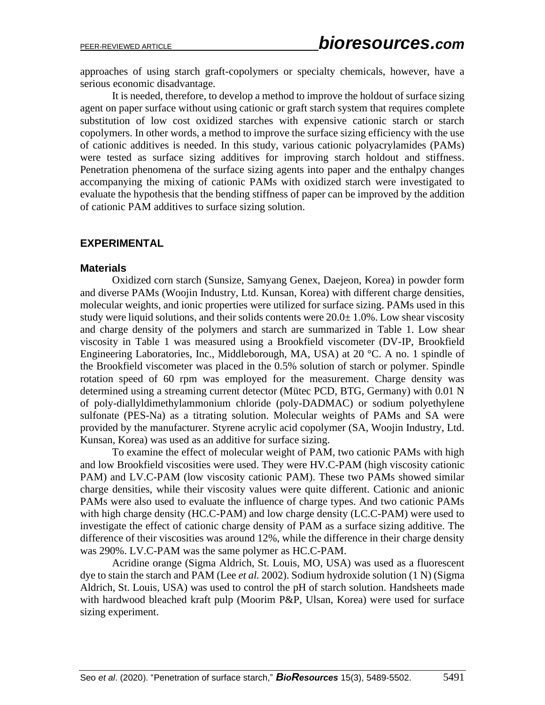approaches of using starch graft-copolymers or specialty chemicals, however, have a serious economic disadvantage.

It is needed, therefore, to develop a method to improve the holdout of surface sizing agent on paper surface without using cationic or graft starch system that requires complete substitution of low cost oxidized starches with expensive cationic starch or starch copolymers. In other words, a method to improve the surface sizing efficiency with the use of cationic additives is needed. In this study, various cationic polyacrylamides (PAMs) were tested as surface sizing additives for improving starch holdout and stiffness. Penetration phenomena of the surface sizing agents into paper and the enthalpy changes accompanying the mixing of cationic PAMs with oxidized starch were investigated to evaluate the hypothesis that the bending stiffness of paper can be improved by the addition of cationic PAM additives to surface sizing solution.

## **EXPERIMENTAL**

#### **Materials**

Oxidized corn starch (Sunsize, Samyang Genex, Daejeon, Korea) in powder form and diverse PAMs (Woojin Industry, Ltd. Kunsan, Korea) with different charge densities, molecular weights, and ionic properties were utilized for surface sizing. PAMs used in this study were liquid solutions, and their solids contents were  $20.0\pm 1.0\%$ . Low shear viscosity and charge density of the polymers and starch are summarized in Table 1. Low shear viscosity in Table 1 was measured using a Brookfield viscometer (DV-IP, Brookfield Engineering Laboratories, Inc., Middleborough, MA, USA) at 20 °C. A no. 1 spindle of the Brookfield viscometer was placed in the 0.5% solution of starch or polymer. Spindle rotation speed of 60 rpm was employed for the measurement. Charge density was determined using a streaming current detector (Mütec PCD, BTG, Germany) with 0.01 N of poly-diallyldimethylammonium chloride (poly-DADMAC) or sodium polyethylene sulfonate (PES-Na) as a titrating solution. Molecular weights of PAMs and SA were provided by the manufacturer. Styrene acrylic acid copolymer (SA, Woojin Industry, Ltd. Kunsan, Korea) was used as an additive for surface sizing.

To examine the effect of molecular weight of PAM, two cationic PAMs with high and low Brookfield viscosities were used. They were HV.C-PAM (high viscosity cationic PAM) and LV.C-PAM (low viscosity cationic PAM). These two PAMs showed similar charge densities, while their viscosity values were quite different. Cationic and anionic PAMs were also used to evaluate the influence of charge types. And two cationic PAMs with high charge density (HC.C-PAM) and low charge density (LC.C-PAM) were used to investigate the effect of cationic charge density of PAM as a surface sizing additive. The difference of their viscosities was around 12%, while the difference in their charge density was 290%. LV.C-PAM was the same polymer as HC.C-PAM.

Acridine orange (Sigma Aldrich, St. Louis, MO, USA) was used as a fluorescent dye to stain the starch and PAM (Lee *et al.* 2002). Sodium hydroxide solution (1 N) (Sigma Aldrich, St. Louis, USA) was used to control the pH of starch solution. Handsheets made with hardwood bleached kraft pulp (Moorim P&P, Ulsan, Korea) were used for surface sizing experiment.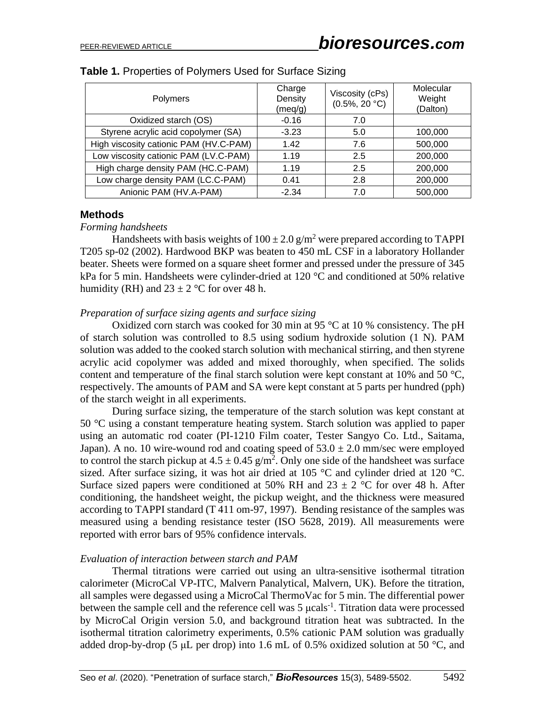| Polymers                               | Charge<br>Density<br>(meq/g) | Viscosity (cPs)<br>$(0.5\%, 20 °C)$ | Molecular<br>Weight<br>(Dalton) |
|----------------------------------------|------------------------------|-------------------------------------|---------------------------------|
| Oxidized starch (OS)                   | $-0.16$                      | 7.0                                 |                                 |
| Styrene acrylic acid copolymer (SA)    | $-3.23$                      | 5.0                                 | 100,000                         |
| High viscosity cationic PAM (HV.C-PAM) | 1.42                         | 7.6                                 | 500,000                         |
| Low viscosity cationic PAM (LV.C-PAM)  | 1.19                         | 2.5                                 | 200,000                         |
| High charge density PAM (HC.C-PAM)     | 1.19                         | 2.5                                 | 200,000                         |
| Low charge density PAM (LC.C-PAM)      | 0.41                         | 2.8                                 | 200,000                         |
| Anionic PAM (HV.A-PAM)                 | $-2.34$                      | 7.0                                 | 500,000                         |

### **Table 1.** Properties of Polymers Used for Surface Sizing

## **Methods**

#### *Forming handsheets*

Handsheets with basis weights of  $100 \pm 2.0$  g/m<sup>2</sup> were prepared according to TAPPI T205 sp-02 (2002). Hardwood BKP was beaten to 450 mL CSF in a laboratory Hollander beater. Sheets were formed on a square sheet former and pressed under the pressure of 345 kPa for 5 min. Handsheets were cylinder-dried at 120 °C and conditioned at 50% relative humidity (RH) and  $23 \pm 2$  °C for over 48 h.

## *Preparation of surface sizing agents and surface sizing*

Oxidized corn starch was cooked for 30 min at 95  $\degree$ C at 10 % consistency. The pH of starch solution was controlled to 8.5 using sodium hydroxide solution (1 N). PAM solution was added to the cooked starch solution with mechanical stirring, and then styrene acrylic acid copolymer was added and mixed thoroughly, when specified. The solids content and temperature of the final starch solution were kept constant at 10% and 50 °C, respectively. The amounts of PAM and SA were kept constant at 5 parts per hundred (pph) of the starch weight in all experiments.

During surface sizing, the temperature of the starch solution was kept constant at 50 °C using a constant temperature heating system. Starch solution was applied to paper using an automatic rod coater (PI-1210 Film coater, Tester Sangyo Co. Ltd., Saitama, Japan). A no. 10 wire-wound rod and coating speed of  $53.0 \pm 2.0$  mm/sec were employed to control the starch pickup at  $4.5 \pm 0.45$  g/m<sup>2</sup>. Only one side of the handsheet was surface sized. After surface sizing, it was hot air dried at 105  $\degree$ C and cylinder dried at 120  $\degree$ C. Surface sized papers were conditioned at 50% RH and  $23 \pm 2$  °C for over 48 h. After conditioning, the handsheet weight, the pickup weight, and the thickness were measured according to TAPPI standard (T 411 om-97, 1997). Bending resistance of the samples was measured using a bending resistance tester (ISO 5628, 2019). All measurements were reported with error bars of 95% confidence intervals.

# *Evaluation of interaction between starch and PAM*

Thermal titrations were carried out using an ultra-sensitive isothermal titration calorimeter (MicroCal VP-ITC, Malvern Panalytical, Malvern, UK). Before the titration, all samples were degassed using a MicroCal ThermoVac for 5 min. The differential power between the sample cell and the reference cell was  $5 \mu \text{cals}^{-1}$ . Titration data were processed by MicroCal Origin version 5.0, and background titration heat was subtracted. In the isothermal titration calorimetry experiments, 0.5% cationic PAM solution was gradually added drop-by-drop (5  $\mu$ L per drop) into 1.6 mL of 0.5% oxidized solution at 50 °C, and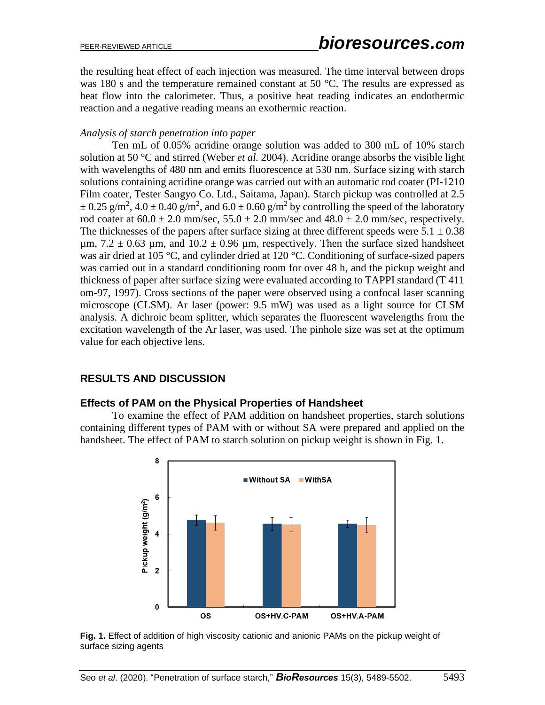the resulting heat effect of each injection was measured. The time interval between drops was 180 s and the temperature remained constant at 50 °C. The results are expressed as heat flow into the calorimeter. Thus, a positive heat reading indicates an endothermic reaction and a negative reading means an exothermic reaction.

### *Analysis of starch penetration into paper*

Ten mL of 0.05% acridine orange solution was added to 300 mL of 10% starch solution at 50 °C and stirred (Weber *et al.* 2004). Acridine orange absorbs the visible light with wavelengths of 480 nm and emits fluorescence at 530 nm. Surface sizing with starch solutions containing acridine orange was carried out with an automatic rod coater (PI-1210 Film coater, Tester Sangyo Co. Ltd., Saitama, Japan). Starch pickup was controlled at 2.5  $\pm$  0.25 g/m<sup>2</sup>, 4.0  $\pm$  0.40 g/m<sup>2</sup>, and 6.0  $\pm$  0.60 g/m<sup>2</sup> by controlling the speed of the laboratory rod coater at  $60.0 \pm 2.0$  mm/sec,  $55.0 \pm 2.0$  mm/sec and  $48.0 \pm 2.0$  mm/sec, respectively. The thicknesses of the papers after surface sizing at three different speeds were  $5.1 \pm 0.38$  $\mu$ m, 7.2  $\pm$  0.63  $\mu$ m, and 10.2  $\pm$  0.96  $\mu$ m, respectively. Then the surface sized handsheet was air dried at 105 °C, and cylinder dried at 120 °C. Conditioning of surface-sized papers was carried out in a standard conditioning room for over 48 h, and the pickup weight and thickness of paper after surface sizing were evaluated according to TAPPI standard (T 411 om-97, 1997). Cross sections of the paper were observed using a confocal laser scanning microscope (CLSM). Ar laser (power: 9.5 mW) was used as a light source for CLSM analysis. A dichroic beam splitter, which separates the fluorescent wavelengths from the excitation wavelength of the Ar laser, was used. The pinhole size was set at the optimum value for each objective lens.

# **RESULTS AND DISCUSSION**

# **Effects of PAM on the Physical Properties of Handsheet**

To examine the effect of PAM addition on handsheet properties, starch solutions containing different types of PAM with or without SA were prepared and applied on the handsheet. The effect of PAM to starch solution on pickup weight is shown in Fig. 1.



**Fig. 1.** Effect of addition of high viscosity cationic and anionic PAMs on the pickup weight of surface sizing agents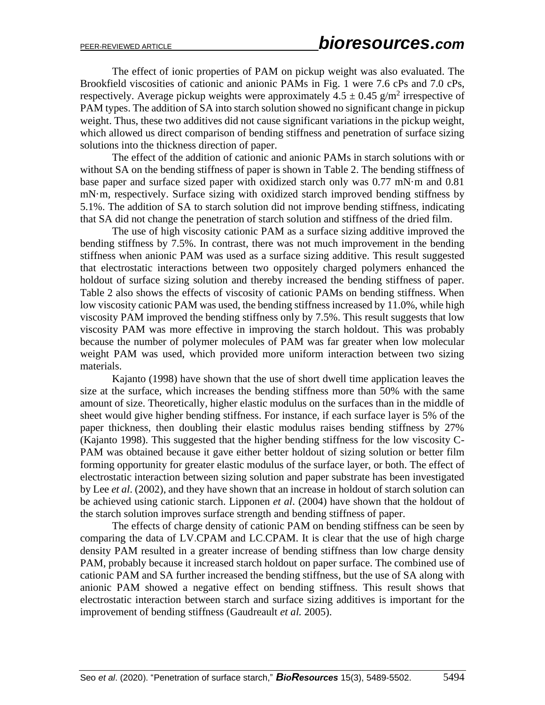The effect of ionic properties of PAM on pickup weight was also evaluated. The Brookfield viscosities of cationic and anionic PAMs in Fig. 1 were 7.6 cPs and 7.0 cPs, respectively. Average pickup weights were approximately  $4.5 \pm 0.45$  g/m<sup>2</sup> irrespective of PAM types. The addition of SA into starch solution showed no significant change in pickup weight. Thus, these two additives did not cause significant variations in the pickup weight, which allowed us direct comparison of bending stiffness and penetration of surface sizing solutions into the thickness direction of paper.

The effect of the addition of cationic and anionic PAMs in starch solutions with or without SA on the bending stiffness of paper is shown in Table 2. The bending stiffness of base paper and surface sized paper with oxidized starch only was 0.77 mN·m and 0.81 mN·m, respectively. Surface sizing with oxidized starch improved bending stiffness by 5.1%. The addition of SA to starch solution did not improve bending stiffness, indicating that SA did not change the penetration of starch solution and stiffness of the dried film.

The use of high viscosity cationic PAM as a surface sizing additive improved the bending stiffness by 7.5%. In contrast, there was not much improvement in the bending stiffness when anionic PAM was used as a surface sizing additive. This result suggested that electrostatic interactions between two oppositely charged polymers enhanced the holdout of surface sizing solution and thereby increased the bending stiffness of paper. Table 2 also shows the effects of viscosity of cationic PAMs on bending stiffness. When low viscosity cationic PAM was used, the bending stiffness increased by 11.0%, while high viscosity PAM improved the bending stiffness only by 7.5%. This result suggests that low viscosity PAM was more effective in improving the starch holdout. This was probably because the number of polymer molecules of PAM was far greater when low molecular weight PAM was used, which provided more uniform interaction between two sizing materials.

Kajanto (1998) have shown that the use of short dwell time application leaves the size at the surface, which increases the bending stiffness more than 50% with the same amount of size. Theoretically, higher elastic modulus on the surfaces than in the middle of sheet would give higher bending stiffness. For instance, if each surface layer is 5% of the paper thickness, then doubling their elastic modulus raises bending stiffness by 27% (Kajanto 1998). This suggested that the higher bending stiffness for the low viscosity C-PAM was obtained because it gave either better holdout of sizing solution or better film forming opportunity for greater elastic modulus of the surface layer, or both. The effect of electrostatic interaction between sizing solution and paper substrate has been investigated by Lee *et al*. (2002), and they have shown that an increase in holdout of starch solution can be achieved using cationic starch. Lipponen *et al*. (2004) have shown that the holdout of the starch solution improves surface strength and bending stiffness of paper.

The effects of charge density of cationic PAM on bending stiffness can be seen by comparing the data of LV.CPAM and LC.CPAM. It is clear that the use of high charge density PAM resulted in a greater increase of bending stiffness than low charge density PAM, probably because it increased starch holdout on paper surface. The combined use of cationic PAM and SA further increased the bending stiffness, but the use of SA along with anionic PAM showed a negative effect on bending stiffness. This result shows that electrostatic interaction between starch and surface sizing additives is important for the improvement of bending stiffness (Gaudreault *et al.* 2005).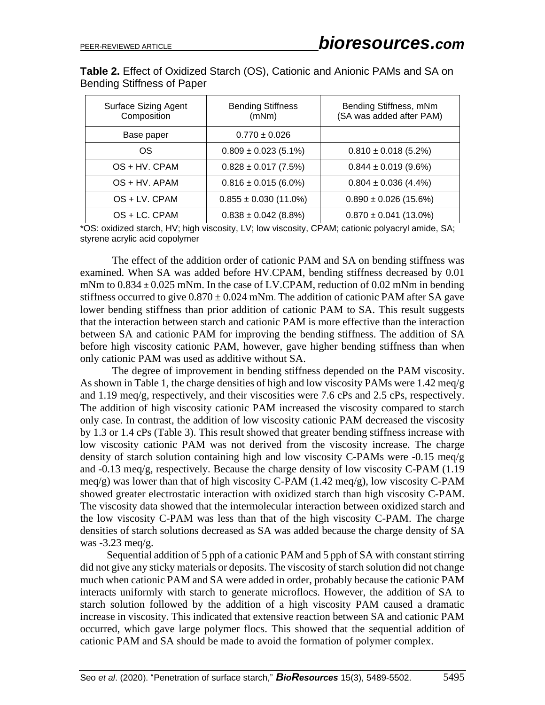| Table 2. Effect of Oxidized Starch (OS), Cationic and Anionic PAMs and SA on |  |  |  |  |
|------------------------------------------------------------------------------|--|--|--|--|
| Bending Stiffness of Paper                                                   |  |  |  |  |

| <b>Surface Sizing Agent</b><br>Composition | <b>Bending Stiffness</b><br>(mNm) | Bending Stiffness, mNm<br>(SA was added after PAM) |
|--------------------------------------------|-----------------------------------|----------------------------------------------------|
| Base paper                                 | $0.770 \pm 0.026$                 |                                                    |
| OS                                         | $0.809 \pm 0.023$ (5.1%)          | $0.810 \pm 0.018$ (5.2%)                           |
| OS + HV. CPAM                              | $0.828 \pm 0.017$ (7.5%)          | $0.844 \pm 0.019$ (9.6%)                           |
| $OS + HV$ . APAM                           | $0.816 \pm 0.015$ (6.0%)          | $0.804 \pm 0.036$ (4.4%)                           |
| OS + LV. CPAM                              | $0.855 \pm 0.030$ (11.0%)         | $0.890 \pm 0.026$ (15.6%)                          |
| $OS + LC$ . CPAM                           | $0.838 \pm 0.042$ (8.8%)          | $0.870 \pm 0.041$ (13.0%)                          |

\*OS: oxidized starch, HV; high viscosity, LV; low viscosity, CPAM; cationic polyacryl amide, SA; styrene acrylic acid copolymer

The effect of the addition order of cationic PAM and SA on bending stiffness was examined. When SA was added before HV.CPAM, bending stiffness decreased by 0.01 mNm to  $0.834 \pm 0.025$  mNm. In the case of LV.CPAM, reduction of  $0.02$  mNm in bending stiffness occurred to give  $0.870 \pm 0.024$  mNm. The addition of cationic PAM after SA gave lower bending stiffness than prior addition of cationic PAM to SA. This result suggests that the interaction between starch and cationic PAM is more effective than the interaction between SA and cationic PAM for improving the bending stiffness. The addition of SA before high viscosity cationic PAM, however, gave higher bending stiffness than when only cationic PAM was used as additive without SA.

The degree of improvement in bending stiffness depended on the PAM viscosity. As shown in Table 1, the charge densities of high and low viscosity PAMs were 1.42 meq/g and 1.19 meq/g, respectively, and their viscosities were 7.6 cPs and 2.5 cPs, respectively. The addition of high viscosity cationic PAM increased the viscosity compared to starch only case. In contrast, the addition of low viscosity cationic PAM decreased the viscosity by 1.3 or 1.4 cPs (Table 3). This result showed that greater bending stiffness increase with low viscosity cationic PAM was not derived from the viscosity increase. The charge density of starch solution containing high and low viscosity C-PAMs were -0.15 meq/g and -0.13 meq/g, respectively. Because the charge density of low viscosity C-PAM (1.19 meq/g) was lower than that of high viscosity C-PAM (1.42 meq/g), low viscosity C-PAM showed greater electrostatic interaction with oxidized starch than high viscosity C-PAM. The viscosity data showed that the intermolecular interaction between oxidized starch and the low viscosity C-PAM was less than that of the high viscosity C-PAM. The charge densities of starch solutions decreased as SA was added because the charge density of SA was -3.23 meq/g.

Sequential addition of 5 pph of a cationic PAM and 5 pph of SA with constant stirring did not give any sticky materials or deposits. The viscosity of starch solution did not change much when cationic PAM and SA were added in order, probably because the cationic PAM interacts uniformly with starch to generate microflocs. However, the addition of SA to starch solution followed by the addition of a high viscosity PAM caused a dramatic increase in viscosity. This indicated that extensive reaction between SA and cationic PAM occurred, which gave large polymer flocs. This showed that the sequential addition of cationic PAM and SA should be made to avoid the formation of polymer complex.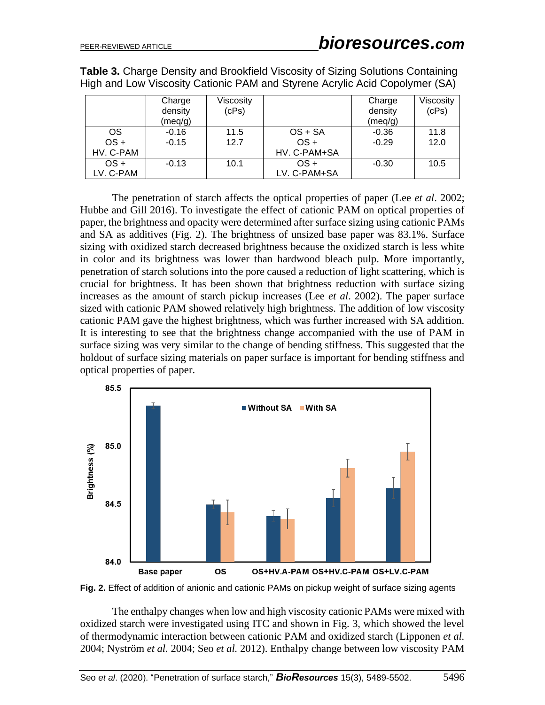**Table 3.** Charge Density and Brookfield Viscosity of Sizing Solutions Containing High and Low Viscosity Cationic PAM and Styrene Acrylic Acid Copolymer (SA)

|           | Charge<br>density<br>(meq/g) | Viscosity<br>(CPs) |              | Charge<br>density<br>(meq/g) | Viscosity<br>(CPs) |
|-----------|------------------------------|--------------------|--------------|------------------------------|--------------------|
| OS        | $-0.16$                      | 11.5               | $OS + SA$    | $-0.36$                      | 11.8               |
| $OS +$    | $-0.15$                      | 12.7               | OS +         | $-0.29$                      | 12.0               |
| HV. C-PAM |                              |                    | HV. C-PAM+SA |                              |                    |
| $OS +$    | $-0.13$                      | 10.1               | OS +         | $-0.30$                      | 10.5               |
| LV. C-PAM |                              |                    | LV. C-PAM+SA |                              |                    |

The penetration of starch affects the optical properties of paper (Lee *et al*. 2002; Hubbe and Gill 2016). To investigate the effect of cationic PAM on optical properties of paper, the brightness and opacity were determined after surface sizing using cationic PAMs and SA as additives (Fig. 2). The brightness of unsized base paper was 83.1%. Surface sizing with oxidized starch decreased brightness because the oxidized starch is less white in color and its brightness was lower than hardwood bleach pulp. More importantly, penetration of starch solutions into the pore caused a reduction of light scattering, which is crucial for brightness. It has been shown that brightness reduction with surface sizing increases as the amount of starch pickup increases (Lee *et al*. 2002). The paper surface sized with cationic PAM showed relatively high brightness. The addition of low viscosity cationic PAM gave the highest brightness, which was further increased with SA addition. It is interesting to see that the brightness change accompanied with the use of PAM in surface sizing was very similar to the change of bending stiffness. This suggested that the holdout of surface sizing materials on paper surface is important for bending stiffness and optical properties of paper.



**Fig. 2.** Effect of addition of anionic and cationic PAMs on pickup weight of surface sizing agents

The enthalpy changes when low and high viscosity cationic PAMs were mixed with oxidized starch were investigated using ITC and shown in Fig. 3, which showed the level of thermodynamic interaction between cationic PAM and oxidized starch (Lipponen *et al.* 2004; Nyström *et al.* 2004; Seo *et al.* 2012). Enthalpy change between low viscosity PAM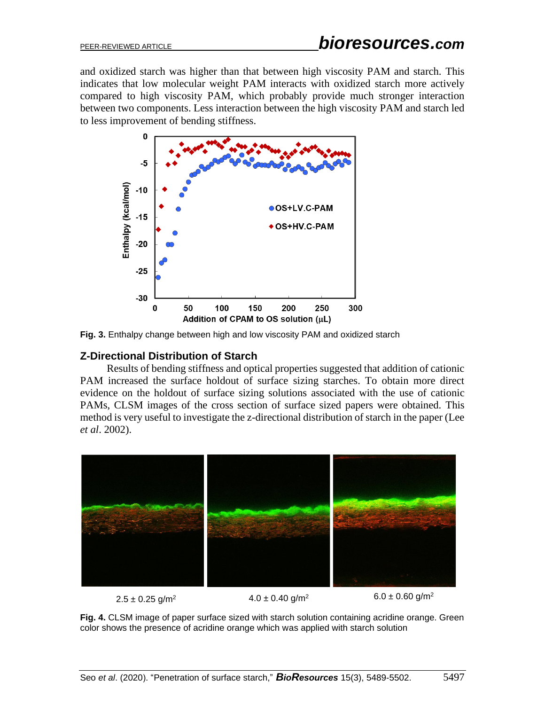and oxidized starch was higher than that between high viscosity PAM and starch. This indicates that low molecular weight PAM interacts with oxidized starch more actively compared to high viscosity PAM, which probably provide much stronger interaction between two components. Less interaction between the high viscosity PAM and starch led to less improvement of bending stiffness.



**Fig. 3.** Enthalpy change between high and low viscosity PAM and oxidized starch

# **Z-Directional Distribution of Starch**

Results of bending stiffness and optical properties suggested that addition of cationic PAM increased the surface holdout of surface sizing starches. To obtain more direct evidence on the holdout of surface sizing solutions associated with the use of cationic PAMs, CLSM images of the cross section of surface sized papers were obtained. This method is very useful to investigate the z-directional distribution of starch in the paper (Lee *et al*. 2002).



 $2.5 \pm 0.25$  g/m<sup>2</sup>  $4.0 \pm 0.40$  g/m<sup>2</sup>  $6.0 \pm 0.60$  g/m<sup>2</sup>

**Fig. 4.** CLSM image of paper surface sized with starch solution containing acridine orange. Green color shows the presence of acridine orange which was applied with starch solution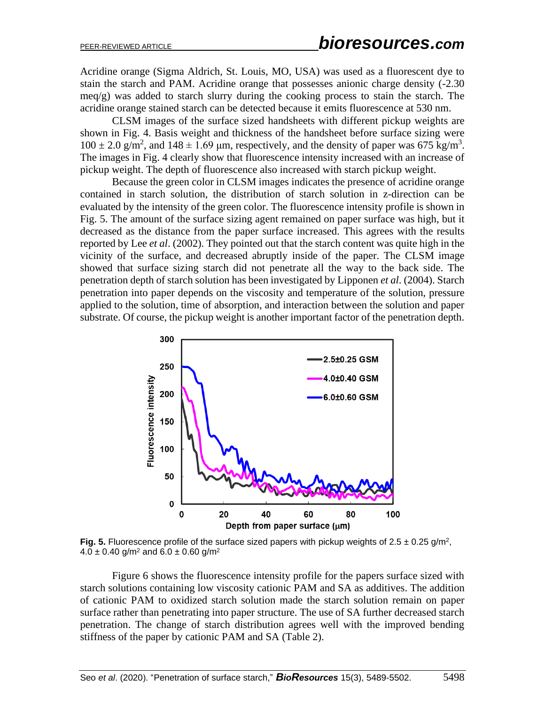Acridine orange (Sigma Aldrich, St. Louis, MO, USA) was used as a fluorescent dye to stain the starch and PAM. Acridine orange that possesses anionic charge density (-2.30 meq/g) was added to starch slurry during the cooking process to stain the starch. The acridine orange stained starch can be detected because it emits fluorescence at 530 nm.

CLSM images of the surface sized handsheets with different pickup weights are shown in Fig. 4. Basis weight and thickness of the handsheet before surface sizing were  $100 \pm 2.0$  g/m<sup>2</sup>, and  $148 \pm 1.69$  µm, respectively, and the density of paper was 675 kg/m<sup>3</sup>. The images in Fig. 4 clearly show that fluorescence intensity increased with an increase of pickup weight. The depth of fluorescence also increased with starch pickup weight.

Because the green color in CLSM images indicates the presence of acridine orange contained in starch solution, the distribution of starch solution in z-direction can be evaluated by the intensity of the green color. The fluorescence intensity profile is shown in Fig. 5. The amount of the surface sizing agent remained on paper surface was high, but it decreased as the distance from the paper surface increased. This agrees with the results reported by Lee *et al*. (2002). They pointed out that the starch content was quite high in the vicinity of the surface, and decreased abruptly inside of the paper. The CLSM image showed that surface sizing starch did not penetrate all the way to the back side. The penetration depth of starch solution has been investigated by Lipponen *et al*. (2004). Starch penetration into paper depends on the viscosity and temperature of the solution, pressure applied to the solution, time of absorption, and interaction between the solution and paper substrate. Of course, the pickup weight is another important factor of the penetration depth.



**Fig. 5.** Fluorescence profile of the surface sized papers with pickup weights of  $2.5 \pm 0.25$  g/m<sup>2</sup>,  $4.0 \pm 0.40$  g/m<sup>2</sup> and  $6.0 \pm 0.60$  g/m<sup>2</sup>

Figure 6 shows the fluorescence intensity profile for the papers surface sized with starch solutions containing low viscosity cationic PAM and SA as additives. The addition of cationic PAM to oxidized starch solution made the starch solution remain on paper surface rather than penetrating into paper structure. The use of SA further decreased starch penetration. The change of starch distribution agrees well with the improved bending stiffness of the paper by cationic PAM and SA (Table 2).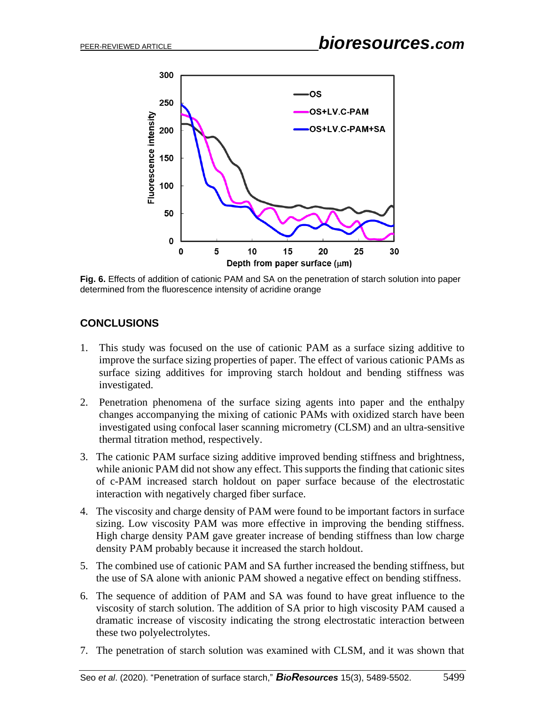

**Fig. 6.** Effects of addition of cationic PAM and SA on the penetration of starch solution into paper determined from the fluorescence intensity of acridine orange

# **CONCLUSIONS**

- 1. This study was focused on the use of cationic PAM as a surface sizing additive to improve the surface sizing properties of paper. The effect of various cationic PAMs as surface sizing additives for improving starch holdout and bending stiffness was investigated.
- 2. Penetration phenomena of the surface sizing agents into paper and the enthalpy changes accompanying the mixing of cationic PAMs with oxidized starch have been investigated using confocal laser scanning micrometry (CLSM) and an ultra-sensitive thermal titration method, respectively.
- 3. The cationic PAM surface sizing additive improved bending stiffness and brightness, while anionic PAM did not show any effect. This supports the finding that cationic sites of c-PAM increased starch holdout on paper surface because of the electrostatic interaction with negatively charged fiber surface.
- 4. The viscosity and charge density of PAM were found to be important factors in surface sizing. Low viscosity PAM was more effective in improving the bending stiffness. High charge density PAM gave greater increase of bending stiffness than low charge density PAM probably because it increased the starch holdout.
- 5. The combined use of cationic PAM and SA further increased the bending stiffness, but the use of SA alone with anionic PAM showed a negative effect on bending stiffness.
- 6. The sequence of addition of PAM and SA was found to have great influence to the viscosity of starch solution. The addition of SA prior to high viscosity PAM caused a dramatic increase of viscosity indicating the strong electrostatic interaction between these two polyelectrolytes.
- 7. The penetration of starch solution was examined with CLSM, and it was shown that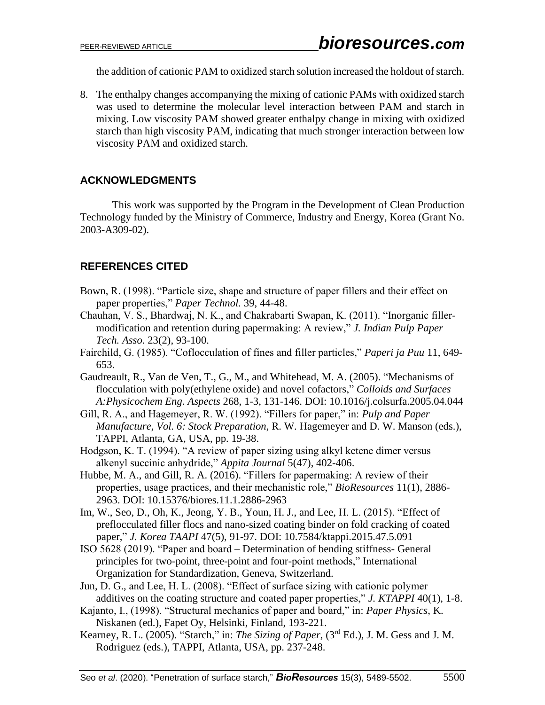the addition of cationic PAM to oxidized starch solution increased the holdout of starch.

8. The enthalpy changes accompanying the mixing of cationic PAMs with oxidized starch was used to determine the molecular level interaction between PAM and starch in mixing. Low viscosity PAM showed greater enthalpy change in mixing with oxidized starch than high viscosity PAM, indicating that much stronger interaction between low viscosity PAM and oxidized starch.

# **ACKNOWLEDGMENTS**

This work was supported by the Program in the Development of Clean Production Technology funded by the Ministry of Commerce, Industry and Energy, Korea (Grant No. 2003-A309-02).

# **REFERENCES CITED**

- Bown, R. (1998). "Particle size, shape and structure of paper fillers and their effect on paper properties," *Paper Technol.* 39, 44-48.
- Chauhan, V. S., Bhardwaj, N. K., and Chakrabarti Swapan, K. (2011). "Inorganic fillermodification and retention during papermaking: A review," *J. Indian Pulp Paper Tech. Asso*. 23(2), 93-100.
- Fairchild, G. (1985). "Coflocculation of fines and filler particles," *Paperi ja Puu* 11, 649- 653.
- Gaudreault, R., Van de Ven, T., G., M., and Whitehead, M. A. (2005). "Mechanisms of flocculation with poly(ethylene oxide) and novel cofactors," *Colloids and Surfaces A:Physicochem Eng. Aspects* 268, 1-3, 131-146. DOI: 10.1016/j.colsurfa.2005.04.044
- Gill, R. A., and Hagemeyer, R. W. (1992). "Fillers for paper," in: *Pulp and Paper Manufacture, Vol. 6: Stock Preparation*, R. W. Hagemeyer and D. W. Manson (eds.), TAPPI, Atlanta, GA, USA, pp. 19-38.
- Hodgson, K. T. (1994). "A review of paper sizing using alkyl ketene dimer versus alkenyl succinic anhydride," *Appita Journal* 5(47), 402-406.
- Hubbe, M. A., and Gill, R. A. (2016). "Fillers for papermaking: A review of their properties, usage practices, and their mechanistic role," *BioResources* 11(1), 2886- 2963. DOI: 10.15376/biores.11.1.2886-2963
- Im, W., Seo, D., Oh, K., Jeong, Y. B., Youn, H. J., and Lee, H. L. (2015). "Effect of preflocculated filler flocs and nano-sized coating binder on fold cracking of coated paper," *J. Korea TAAPI* 47(5), 91-97. DOI: 10.7584/ktappi.2015.47.5.091
- ISO 5628 (2019). "Paper and board Determination of bending stiffness- General principles for two-point, three-point and four-point methods," International Organization for Standardization, Geneva, Switzerland.
- Jun, D. G., and Lee, H. L. (2008). "Effect of surface sizing with cationic polymer additives on the coating structure and coated paper properties," *J. KTAPPI* 40(1), 1-8.
- Kajanto, I., (1998). "Structural mechanics of paper and board," in: *Paper Physics*, K. Niskanen (ed.), Fapet Oy, Helsinki, Finland, 193-221.
- Kearney, R. L. (2005). "Starch," in: *The Sizing of Paper*, (3rd Ed.), J. M. Gess and J. M. Rodriguez (eds.), TAPPI, Atlanta, USA, pp. 237-248.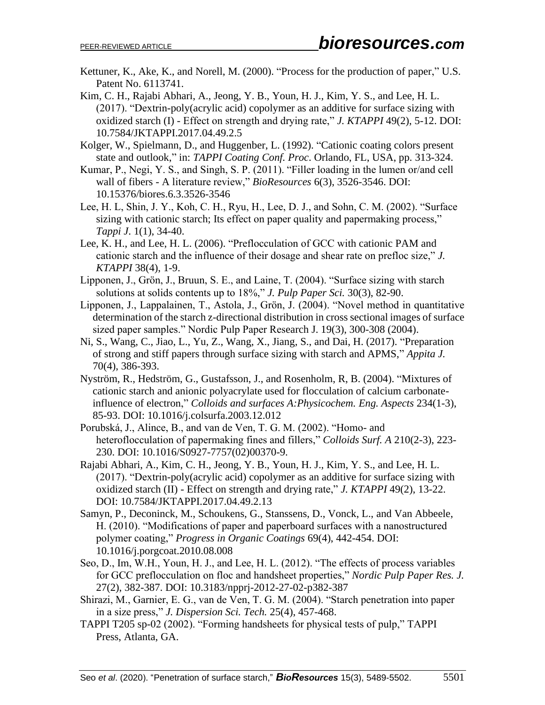- Kettuner, K., Ake, K., and Norell, M. (2000). "Process for the production of paper," U.S. Patent No. 6113741.
- Kim, C. H., Rajabi Abhari, A., Jeong, Y. B., Youn, H. J., Kim, Y. S., and Lee, H. L. (2017). "Dextrin-poly(acrylic acid) copolymer as an additive for surface sizing with oxidized starch (I) - Effect on strength and drying rate," *J. KTAPPI* 49(2), 5-12. DOI: 10.7584/JKTAPPI.2017.04.49.2.5
- Kolger, W., Spielmann, D., and Huggenber, L. (1992). "Cationic coating colors present state and outlook," in: *TAPPI Coating Conf. Proc*. Orlando, FL, USA, pp. 313-324.
- Kumar, P., Negi, Y. S., and Singh, S. P. (2011). "Filler loading in the lumen or/and cell wall of fibers - A literature review," *BioResources* 6(3), 3526-3546. DOI: 10.15376/biores.6.3.3526-3546
- Lee, H. L, Shin, J. Y., Koh, C. H., Ryu, H., Lee, D. J., and Sohn, C. M. (2002). "Surface sizing with cationic starch; Its effect on paper quality and papermaking process," *Tappi J*. 1(1), 34-40.
- Lee, K. H., and Lee, H. L. (2006). "Preflocculation of GCC with cationic PAM and cationic starch and the influence of their dosage and shear rate on prefloc size," *J. KTAPPI* 38(4), 1-9.
- Lipponen, J., Grön, J., Bruun, S. E., and Laine, T. (2004). "Surface sizing with starch solutions at solids contents up to 18%," *J. Pulp Paper Sci.* 30(3), 82-90.
- Lipponen, J., Lappalainen, T., Astola, J., Grön, J. (2004). "Novel method in quantitative determination of the starch z-directional distribution in cross sectional images of surface sized paper samples." Nordic Pulp Paper Research J. 19(3), 300-308 (2004).
- Ni, S., Wang, C., Jiao, L., Yu, Z., Wang, X., Jiang, S., and Dai, H. (2017). "Preparation of strong and stiff papers through surface sizing with starch and APMS," *Appita J.* 70(4), 386-393.
- Nyström, R., Hedström, G., Gustafsson, J., and Rosenholm, R, B. (2004). "Mixtures of cationic starch and anionic polyacrylate used for flocculation of calcium carbonateinfluence of electron," *Colloids and surfaces A:Physicochem. Eng. Aspects* 234(1-3), 85-93. DOI: 10.1016/j.colsurfa.2003.12.012
- Porubská, J., Alince, B., and van de Ven, T. G. M. (2002). "Homo- and heteroflocculation of papermaking fines and fillers," *Colloids Surf. A* 210(2-3), 223- 230. DOI: 10.1016/S0927-7757(02)00370-9.
- Rajabi Abhari, A., Kim, C. H., Jeong, Y. B., Youn, H. J., Kim, Y. S., and Lee, H. L. (2017). "Dextrin-poly(acrylic acid) copolymer as an additive for surface sizing with oxidized starch (II) - Effect on strength and drying rate," *J. KTAPPI* 49(2), 13-22. DOI: 10.7584/JKTAPPI.2017.04.49.2.13
- Samyn, P., Deconinck, M., Schoukens, G., Stanssens, D., Vonck, L., and Van Abbeele, H. (2010). "Modifications of paper and paperboard surfaces with a nanostructured polymer coating," *Progress in Organic Coatings* 69(4), 442-454. DOI: 10.1016/j.porgcoat.2010.08.008
- Seo, D., Im, W.H., Youn, H. J., and Lee, H. L. (2012). "The effects of process variables for GCC preflocculation on floc and handsheet properties," *Nordic Pulp Paper Res. J.* 27(2), 382-387. DOI: 10.3183/npprj-2012-27-02-p382-387
- Shirazi, M., Garnier, E. G., van de Ven, T. G. M. (2004). "Starch penetration into paper in a size press," *J. Dispersion Sci. Tech.* 25(4), 457-468.
- TAPPI T205 sp-02 (2002). "Forming handsheets for physical tests of pulp," TAPPI Press, Atlanta, GA.